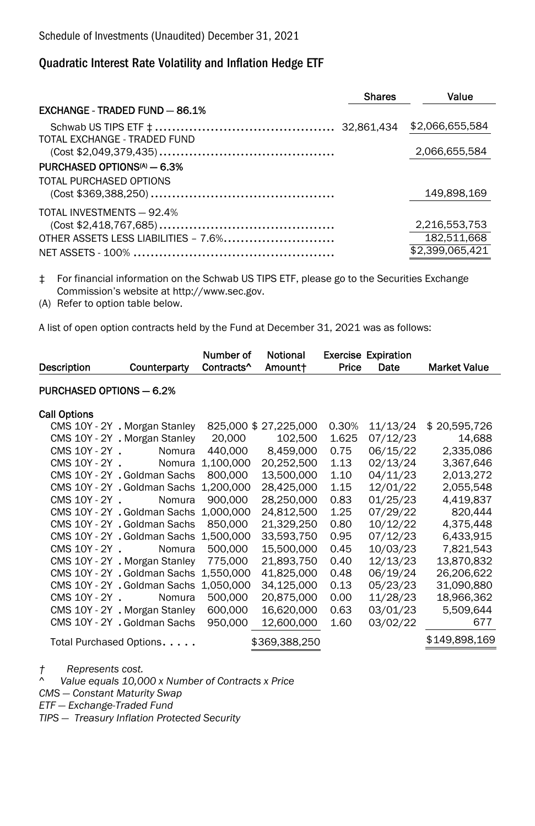## Quadratic Interest Rate Volatility and Inflation Hedge ETF

|                                       | <b>Shares</b> | Value           |
|---------------------------------------|---------------|-----------------|
| <b>EXCHANGE - TRADED FUND - 86.1%</b> |               |                 |
|                                       |               | \$2,066,655,584 |
| TOTAL EXCHANGE - TRADED FUND          |               |                 |
|                                       |               | 2,066,655,584   |
| PURCHASED OPTIONS(A) - 6.3%           |               |                 |
| TOTAL PURCHASED OPTIONS               |               |                 |
|                                       |               | 149,898,169     |
| TOTAL INVESTMENTS - 92.4%             |               |                 |
|                                       |               | 2,216,553,753   |
| OTHER ASSETS LESS LIABILITIES - 7.6%  |               | 182.511.668     |
|                                       |               | \$2,399,065,421 |

‡ For financial information on the Schwab US TIPS ETF, please go to the Securities Exchange Commission's website at http://www.sec.gov.

(A) Refer to option table below.

A list of open option contracts held by the Fund at December 31, 2021 was as follows:

|                          |              | Number of              | Notional | <b>Exercise Expiration</b> |      |                     |
|--------------------------|--------------|------------------------|----------|----------------------------|------|---------------------|
| Description              | Counterparty | Contracts <sup>^</sup> | Amount†  | Price                      | Date | <b>Market Value</b> |
|                          |              |                        |          |                            |      |                     |
| PURCHASED OPTIONS - 6.2% |              |                        |          |                            |      |                     |

| Call Options                           |            |               |       |          |               |
|----------------------------------------|------------|---------------|-------|----------|---------------|
| CMS 10Y - 2Y. Morgan Stanley           | 825,000 \$ | 27,225,000    | 0.30% | 11/13/24 | \$20,595,726  |
| CMS 10Y - 2Y. Morgan Stanley           | 20,000     | 102,500       | 1.625 | 07/12/23 | 14,688        |
| CMS 10Y - 2Y.<br>Nomura                | 440.000    | 8,459,000     | 0.75  | 06/15/22 | 2,335,086     |
| CMS 10Y - 2Y .<br>Nomura               | 1.100.000  | 20,252,500    | 1.13  | 02/13/24 | 3,367,646     |
| CMS 10Y - 2Y, Goldman Sachs            | 800,000    | 13,500,000    | 1.10  | 04/11/23 | 2,013,272     |
| CMS 10Y - 2Y, Goldman Sachs            | 1,200,000  | 28,425,000    | 1.15  | 12/01/22 | 2,055,548     |
| CMS 10Y - 2Y<br>Nomura                 | 900.000    | 28.250.000    | 0.83  | 01/25/23 | 4,419,837     |
| CMS 10Y - 2Y . Goldman Sachs 1,000,000 |            | 24,812,500    | 1.25  | 07/29/22 | 820,444       |
| CMS 10Y - 2Y . Goldman Sachs           | 850,000    | 21,329,250    | 0.80  | 10/12/22 | 4,375,448     |
| CMS 10Y - 2Y . Goldman Sachs 1.500.000 |            | 33,593,750    | 0.95  | 07/12/23 | 6,433,915     |
| CMS 10Y - 2Y .<br>Nomura               | 500,000    | 15,500,000    | 0.45  | 10/03/23 | 7,821,543     |
| CMS 10Y - 2Y . Morgan Stanley          | 775,000    | 21.893.750    | 0.40  | 12/13/23 | 13.870.832    |
| CMS 10Y - 2Y . Goldman Sachs           | 1.550.000  | 41.825.000    | 0.48  | 06/19/24 | 26,206,622    |
| CMS 10Y - 2Y . Goldman Sachs 1,050,000 |            | 34,125,000    | 0.13  | 05/23/23 | 31,090,880    |
| CMS 10Y - 2Y .<br>Nomura               | 500,000    | 20,875,000    | 0.00  | 11/28/23 | 18,966,362    |
| CMS 10Y - 2Y. Morgan Stanley           | 600,000    | 16,620,000    | 0.63  | 03/01/23 | 5,509,644     |
| CMS 10Y - 2Y . Goldman Sachs           | 950,000    | 12.600.000    | 1.60  | 03/02/22 | 677           |
| Total Purchased Options.               |            | \$369,388,250 |       |          | \$149,898,169 |

*† Represents cost.* 

*^ Value equals 10,000 x Number of Contracts x Price* 

*CMS — Constant Maturity Swap* 

*ETF — Exchange-Traded Fund* 

*TIPS — Treasury Inflation Protected Security*